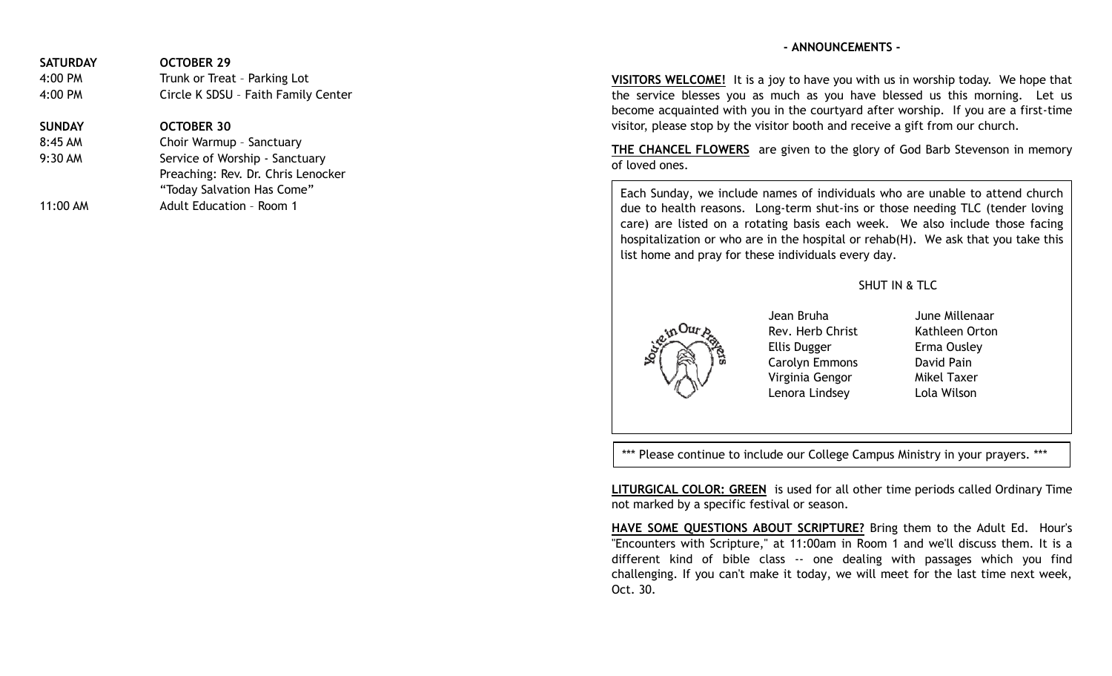## **- ANNOUNCEMENTS -**

| <b>SATURDAY</b> | <b>OCTOBER 29</b>                   |
|-----------------|-------------------------------------|
| 4:00 PM         | Trunk or Treat - Parking Lot        |
| 4:00 PM         | Circle K SDSU - Faith Family Center |
| <b>SUNDAY</b>   | <b>OCTOBER 30</b>                   |
| 8:45 AM         | Choir Warmup - Sanctuary            |
| 9:30 AM         | Service of Worship - Sanctuary      |
|                 | Preaching: Rev. Dr. Chris Lenocker  |
|                 | "Today Salvation Has Come"          |

11:00 AM Adult Education - Room 1

**VISITORS WELCOME!** It is a joy to have you with us in worship today. We hope that the service blesses you as much as you have blessed us this morning. Let us become acquainted with you in the courtyard after worship. If you are a first-time visitor, please stop by the visitor booth and receive a gift from our church.

**THE CHANCEL FLOWERS** are given to the glory of God Barb Stevenson in memory of loved ones.

Each Sunday, we include names of individuals who are unable to attend church due to health reasons. Long-term shut-ins or those needing TLC (tender loving care) are listed on a rotating basis each week. We also include those facing hospitalization or who are in the hospital or rehab(H). We ask that you take this list home and pray for these individuals every day.

## SHUT IN & TLC



Jean Bruha June Millenaar Rev. Herb Christ Kathleen Orton Ellis Dugger Erma Ousley Carolyn Emmons David Pain Virginia Gengor Mikel Taxer Lenora Lindsey Lola Wilson

\*\*\* Please continue to include our College Campus Ministry in your prayers. \*\*\*

**LITURGICAL COLOR: GREEN** is used for all other time periods called Ordinary Time not marked by a specific festival or season.

**HAVE SOME QUESTIONS ABOUT SCRIPTURE?** Bring them to the Adult Ed. Hour's "Encounters with Scripture," at 11:00am in Room 1 and we'll discuss them. It is a different kind of bible class -- one dealing with passages which you find challenging. If you can't make it today, we will meet for the last time next week, Oct. 30.